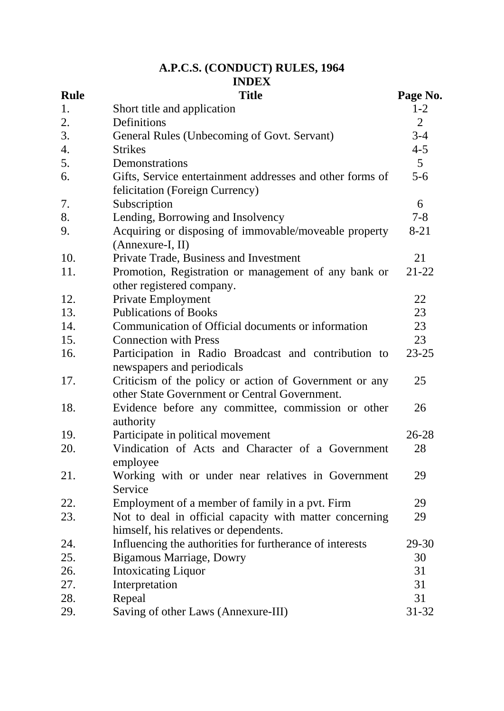# **A.P.C.S. (CONDUCT) RULES, 1964**

|                   | <b>INDEX</b>                                                                                            |                     |
|-------------------|---------------------------------------------------------------------------------------------------------|---------------------|
| <b>Rule</b><br>1. | <b>Title</b>                                                                                            | Page No.<br>$1 - 2$ |
| 2.                | Short title and application<br>Definitions                                                              | $\overline{2}$      |
| 3.                | General Rules (Unbecoming of Govt. Servant)                                                             | $3 - 4$             |
| 4.                | <b>Strikes</b>                                                                                          | $4 - 5$             |
| 5.                | Demonstrations                                                                                          | 5 <sup>5</sup>      |
| 6.                | Gifts, Service entertainment addresses and other forms of<br>felicitation (Foreign Currency)            | $5-6$               |
| 7.                | Subscription                                                                                            | 6                   |
| 8.                | Lending, Borrowing and Insolvency                                                                       | $7 - 8$             |
| 9.                | Acquiring or disposing of immovable/moveable property<br>(Annexure-I, II)                               | $8 - 21$            |
| 10.               | Private Trade, Business and Investment                                                                  | 21                  |
| 11.               | Promotion, Registration or management of any bank or<br>other registered company.                       | $21 - 22$           |
| 12.               | Private Employment                                                                                      | 22                  |
| 13.               | <b>Publications of Books</b>                                                                            | 23                  |
| 14.               | Communication of Official documents or information                                                      | 23                  |
| 15.               | <b>Connection with Press</b>                                                                            | 23                  |
| 16.               | Participation in Radio Broadcast and contribution to<br>newspapers and periodicals                      | $23 - 25$           |
| 17.               | Criticism of the policy or action of Government or any<br>other State Government or Central Government. | 25                  |
| 18.               | Evidence before any committee, commission or other<br>authority                                         | 26                  |
| 19.               | Participate in political movement                                                                       | $26 - 28$           |
| 20.               | Vindication of Acts and Character of a Government<br>employee                                           | 28                  |
| 21.               | Working with or under near relatives in Government<br>Service                                           | 29                  |
| 22.               | Employment of a member of family in a pvt. Firm                                                         | 29                  |
| 23.               | Not to deal in official capacity with matter concerning<br>himself, his relatives or dependents.        | 29                  |
| 24.               | Influencing the authorities for furtherance of interests                                                | $29 - 30$           |
| 25.               | <b>Bigamous Marriage, Dowry</b>                                                                         | 30                  |
| 26.               | <b>Intoxicating Liquor</b>                                                                              | 31                  |
| 27.               | Interpretation                                                                                          | 31                  |
| 28.               | Repeal                                                                                                  | 31                  |
| 29.               | Saving of other Laws (Annexure-III)                                                                     | $31 - 32$           |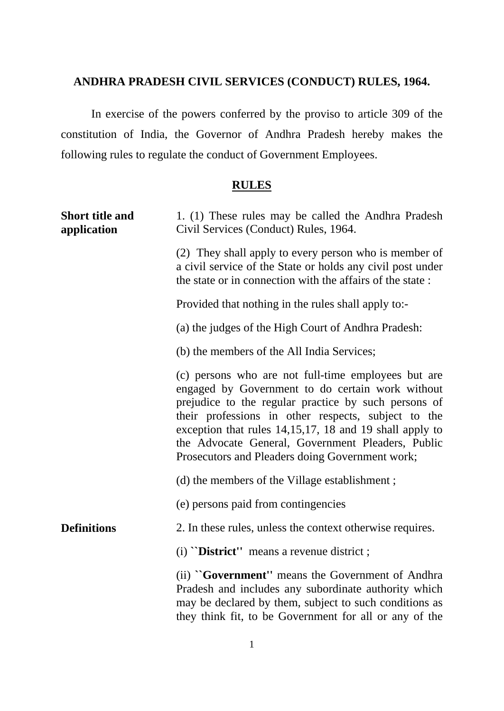## **ANDHRA PRADESH CIVIL SERVICES (CONDUCT) RULES, 1964.**

In exercise of the powers conferred by the proviso to article 309 of the constitution of India, the Governor of Andhra Pradesh hereby makes the following rules to regulate the conduct of Government Employees.

## **RULES**

| <b>Short title and</b><br>application | 1. (1) These rules may be called the Andhra Pradesh<br>Civil Services (Conduct) Rules, 1964.                                                                                                                                                                                                                                                                                              |  |  |  |
|---------------------------------------|-------------------------------------------------------------------------------------------------------------------------------------------------------------------------------------------------------------------------------------------------------------------------------------------------------------------------------------------------------------------------------------------|--|--|--|
|                                       | (2) They shall apply to every person who is member of<br>a civil service of the State or holds any civil post under<br>the state or in connection with the affairs of the state:                                                                                                                                                                                                          |  |  |  |
|                                       | Provided that nothing in the rules shall apply to:-                                                                                                                                                                                                                                                                                                                                       |  |  |  |
|                                       | (a) the judges of the High Court of Andhra Pradesh:                                                                                                                                                                                                                                                                                                                                       |  |  |  |
|                                       | (b) the members of the All India Services;                                                                                                                                                                                                                                                                                                                                                |  |  |  |
|                                       | (c) persons who are not full-time employees but are<br>engaged by Government to do certain work without<br>prejudice to the regular practice by such persons of<br>their professions in other respects, subject to the<br>exception that rules 14,15,17, 18 and 19 shall apply to<br>the Advocate General, Government Pleaders, Public<br>Prosecutors and Pleaders doing Government work; |  |  |  |
|                                       | (d) the members of the Village establishment;                                                                                                                                                                                                                                                                                                                                             |  |  |  |
|                                       | (e) persons paid from contingencies                                                                                                                                                                                                                                                                                                                                                       |  |  |  |
| <b>Definitions</b>                    | 2. In these rules, unless the context otherwise requires.                                                                                                                                                                                                                                                                                                                                 |  |  |  |
|                                       | $(i)$ "District" means a revenue district;                                                                                                                                                                                                                                                                                                                                                |  |  |  |
|                                       | (ii) "Government" means the Government of Andhra<br>Pradesh and includes any subordinate authority which<br>may be declared by them, subject to such conditions as<br>they think fit, to be Government for all or any of the                                                                                                                                                              |  |  |  |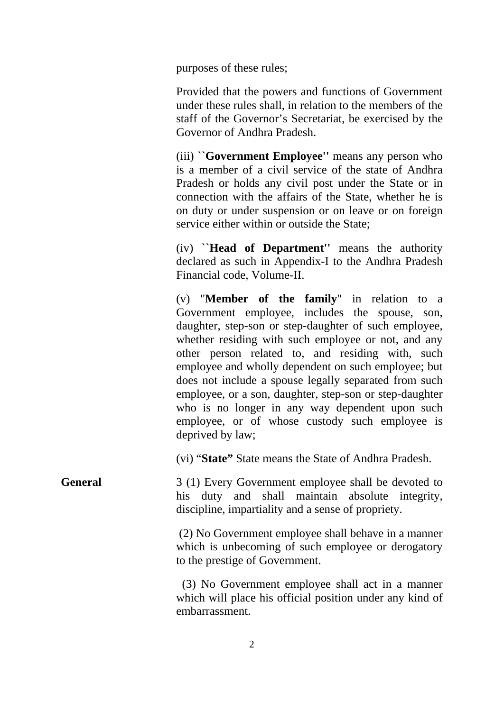purposes of these rules;

Provided that the powers and functions of Government under these rules shall, in relation to the members of the staff of the Governor's Secretariat, be exercised by the Governor of Andhra Pradesh.

(iii) **``Government Employee''** means any person who is a member of a civil service of the state of Andhra Pradesh or holds any civil post under the State or in connection with the affairs of the State, whether he is on duty or under suspension or on leave or on foreign service either within or outside the State;

(iv) **``Head of Department''** means the authority declared as such in Appendix-I to the Andhra Pradesh Financial code, Volume-II.

(v) "**Member of the family**" in relation to a Government employee, includes the spouse, son, daughter, step-son or step-daughter of such employee, whether residing with such employee or not, and any other person related to, and residing with, such employee and wholly dependent on such employee; but does not include a spouse legally separated from such employee, or a son, daughter, step-son or step-daughter who is no longer in any way dependent upon such employee, or of whose custody such employee is deprived by law;

(vi) "**State"** State means the State of Andhra Pradesh.

**General** 3 (1) Every Government employee shall be devoted to his duty and shall maintain absolute integrity, discipline, impartiality and a sense of propriety.

> (2) No Government employee shall behave in a manner which is unbecoming of such employee or derogatory to the prestige of Government.

> (3) No Government employee shall act in a manner which will place his official position under any kind of embarrassment.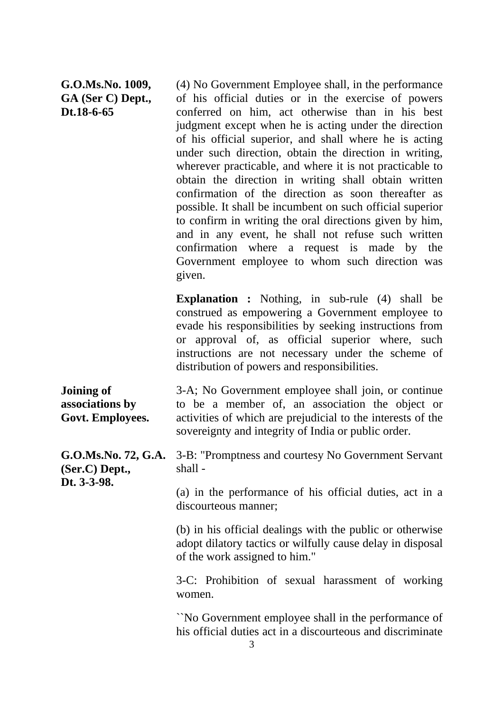## **G.O.Ms.No. 1009, GA (Ser C) Dept., Dt.18-6-65**

(4) No Government Employee shall, in the performance of his official duties or in the exercise of powers conferred on him, act otherwise than in his best judgment except when he is acting under the direction of his official superior, and shall where he is acting under such direction, obtain the direction in writing, wherever practicable, and where it is not practicable to obtain the direction in writing shall obtain written confirmation of the direction as soon thereafter as possible. It shall be incumbent on such official superior to confirm in writing the oral directions given by him, and in any event, he shall not refuse such written confirmation where a request is made by the Government employee to whom such direction was given.

**Explanation :** Nothing, in sub-rule (4) shall be construed as empowering a Government employee to evade his responsibilities by seeking instructions from or approval of, as official superior where, such instructions are not necessary under the scheme of distribution of powers and responsibilities.

| Joining of       | 3-A; No Government employee shall join, or continue         |  |  |  |
|------------------|-------------------------------------------------------------|--|--|--|
| associations by  | to be a member of, an association the object or             |  |  |  |
| Govt. Employees. | activities of which are prejudicial to the interests of the |  |  |  |
|                  | sovereignty and integrity of India or public order.         |  |  |  |

**G.O.Ms.No. 72, G.A.**  3-B: "Promptness and courtesy No Government Servant **(Ser.C) Dept., Dt. 3-3-98.** shall -

> (a) in the performance of his official duties, act in a discourteous manner;

> (b) in his official dealings with the public or otherwise adopt dilatory tactics or wilfully cause delay in disposal of the work assigned to him."

> 3-C: Prohibition of sexual harassment of working women.

> ``No Government employee shall in the performance of his official duties act in a discourteous and discriminate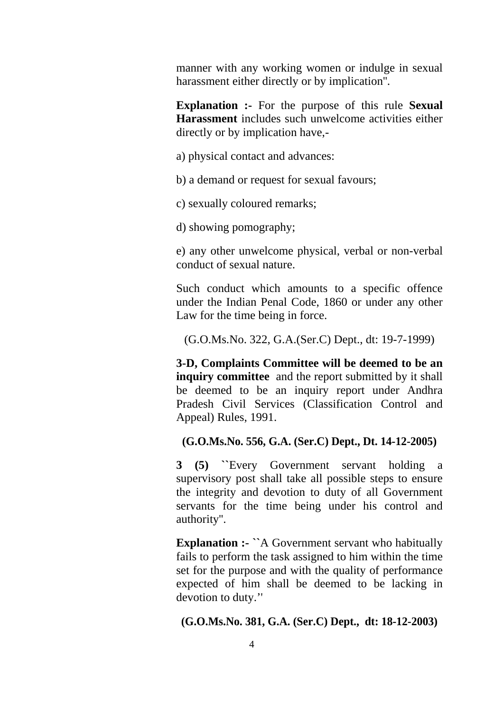manner with any working women or indulge in sexual harassment either directly or by implication''.

**Explanation :-** For the purpose of this rule **Sexual Harassment** includes such unwelcome activities either directly or by implication have,-

a) physical contact and advances:

b) a demand or request for sexual favours;

c) sexually coloured remarks;

d) showing pomography;

e) any other unwelcome physical, verbal or non-verbal conduct of sexual nature.

Such conduct which amounts to a specific offence under the Indian Penal Code, 1860 or under any other Law for the time being in force.

(G.O.Ms.No. 322, G.A.(Ser.C) Dept., dt: 19-7-1999)

**3-D, Complaints Committee will be deemed to be an inquiry committee** and the report submitted by it shall be deemed to be an inquiry report under Andhra Pradesh Civil Services (Classification Control and Appeal) Rules, 1991.

## **(G.O.Ms.No. 556, G.A. (Ser.C) Dept., Dt. 14-12-2005)**

**3 (5) ``**Every Government servant holding a supervisory post shall take all possible steps to ensure the integrity and devotion to duty of all Government servants for the time being under his control and authority''.

**Explanation :- ``**A Government servant who habitually fails to perform the task assigned to him within the time set for the purpose and with the quality of performance expected of him shall be deemed to be lacking in devotion to duty.''

#### **(G.O.Ms.No. 381, G.A. (Ser.C) Dept., dt: 18-12-2003)**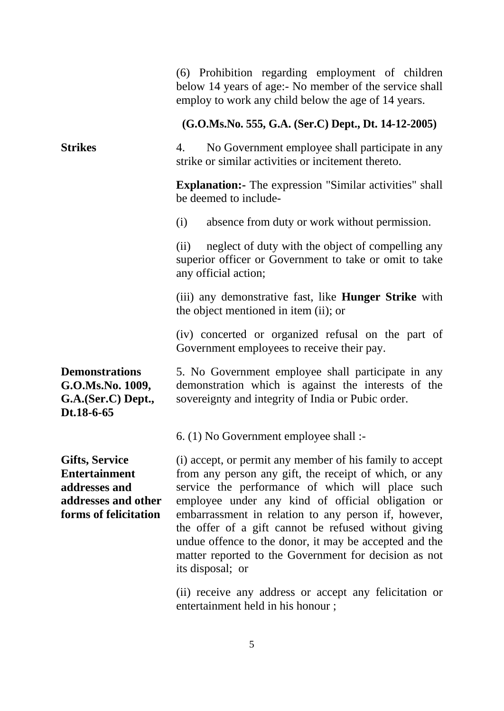|                                                                                                                | (6) Prohibition regarding employment of children<br>below 14 years of age:- No member of the service shall<br>employ to work any child below the age of 14 years.                                                                                                                                                                                                                                                                                                                  |  |  |  |  |
|----------------------------------------------------------------------------------------------------------------|------------------------------------------------------------------------------------------------------------------------------------------------------------------------------------------------------------------------------------------------------------------------------------------------------------------------------------------------------------------------------------------------------------------------------------------------------------------------------------|--|--|--|--|
|                                                                                                                | $(G.O.Ms.No. 555, G.A. (Ser.C) Dept., Dt. 14-12-2005)$                                                                                                                                                                                                                                                                                                                                                                                                                             |  |  |  |  |
| <b>Strikes</b>                                                                                                 | No Government employee shall participate in any<br>4.<br>strike or similar activities or incitement thereto.                                                                                                                                                                                                                                                                                                                                                                       |  |  |  |  |
|                                                                                                                | <b>Explanation:</b> The expression "Similar activities" shall<br>be deemed to include-                                                                                                                                                                                                                                                                                                                                                                                             |  |  |  |  |
|                                                                                                                | absence from duty or work without permission.<br>(i)                                                                                                                                                                                                                                                                                                                                                                                                                               |  |  |  |  |
|                                                                                                                | neglect of duty with the object of compelling any<br>(ii)<br>superior officer or Government to take or omit to take<br>any official action;                                                                                                                                                                                                                                                                                                                                        |  |  |  |  |
|                                                                                                                | (iii) any demonstrative fast, like <b>Hunger Strike</b> with<br>the object mentioned in item (ii); or                                                                                                                                                                                                                                                                                                                                                                              |  |  |  |  |
|                                                                                                                | (iv) concerted or organized refusal on the part of<br>Government employees to receive their pay.                                                                                                                                                                                                                                                                                                                                                                                   |  |  |  |  |
| <b>Demonstrations</b><br>G.O.Ms.No. 1009,<br>G.A.(Ser.C) Dept.,<br>Dt.18-6-65                                  | 5. No Government employee shall participate in any<br>demonstration which is against the interests of the<br>sovereignty and integrity of India or Pubic order.                                                                                                                                                                                                                                                                                                                    |  |  |  |  |
|                                                                                                                | 6. (1) No Government employee shall :-                                                                                                                                                                                                                                                                                                                                                                                                                                             |  |  |  |  |
| <b>Gifts, Service</b><br><b>Entertainment</b><br>addresses and<br>addresses and other<br>forms of felicitation | (i) accept, or permit any member of his family to accept<br>from any person any gift, the receipt of which, or any<br>service the performance of which will place such<br>employee under any kind of official obligation or<br>embarrassment in relation to any person if, however,<br>the offer of a gift cannot be refused without giving<br>undue offence to the donor, it may be accepted and the<br>matter reported to the Government for decision as not<br>its disposal; or |  |  |  |  |
|                                                                                                                | (ii) receive any address or accept any felicitation or                                                                                                                                                                                                                                                                                                                                                                                                                             |  |  |  |  |

(ii) receive any address or accept any felicitation or entertainment held in his honour ;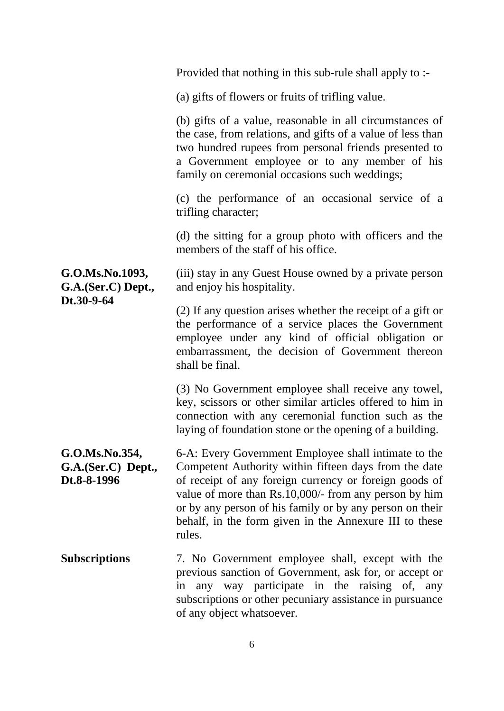|                                                     | Provided that nothing in this sub-rule shall apply to :-                                                                                                                                                                                                                                                                                                         |
|-----------------------------------------------------|------------------------------------------------------------------------------------------------------------------------------------------------------------------------------------------------------------------------------------------------------------------------------------------------------------------------------------------------------------------|
|                                                     | (a) gifts of flowers or fruits of trifling value.                                                                                                                                                                                                                                                                                                                |
|                                                     | (b) gifts of a value, reasonable in all circumstances of<br>the case, from relations, and gifts of a value of less than<br>two hundred rupees from personal friends presented to<br>a Government employee or to any member of his<br>family on ceremonial occasions such weddings;                                                                               |
|                                                     | (c) the performance of an occasional service of a<br>trifling character;                                                                                                                                                                                                                                                                                         |
|                                                     | (d) the sitting for a group photo with officers and the<br>members of the staff of his office.                                                                                                                                                                                                                                                                   |
| G.O.Ms.No.1093,<br>G.A.(Ser.C) Dept.,               | (iii) stay in any Guest House owned by a private person<br>and enjoy his hospitality.                                                                                                                                                                                                                                                                            |
| Dt.30-9-64                                          | (2) If any question arises whether the receipt of a gift or<br>the performance of a service places the Government<br>employee under any kind of official obligation or<br>embarrassment, the decision of Government thereon<br>shall be final.                                                                                                                   |
|                                                     | (3) No Government employee shall receive any towel,<br>key, scissors or other similar articles offered to him in<br>connection with any ceremonial function such as the<br>laying of foundation stone or the opening of a building.                                                                                                                              |
| G.O.Ms.No.354,<br>G.A.(Ser.C) Dept.,<br>Dt.8-8-1996 | 6-A: Every Government Employee shall intimate to the<br>Competent Authority within fifteen days from the date<br>of receipt of any foreign currency or foreign goods of<br>value of more than Rs.10,000/- from any person by him<br>or by any person of his family or by any person on their<br>behalf, in the form given in the Annexure III to these<br>rules. |
| <b>Subscriptions</b>                                | 7. No Government employee shall, except with the<br>previous sanction of Government, ask for, or accept or<br>any way participate in the raising of, any<br>in<br>subscriptions or other pecuniary assistance in pursuance<br>of any object whatsoever.                                                                                                          |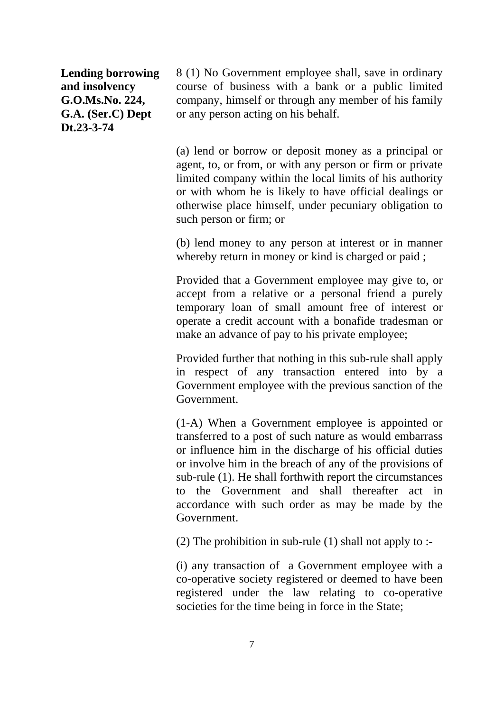**Lending borrowing and insolvency G.O.Ms.No. 224, G.A. (Ser.C) Dept Dt.23-3-74**

8 (1) No Government employee shall, save in ordinary course of business with a bank or a public limited company, himself or through any member of his family or any person acting on his behalf.

(a) lend or borrow or deposit money as a principal or agent, to, or from, or with any person or firm or private limited company within the local limits of his authority or with whom he is likely to have official dealings or otherwise place himself, under pecuniary obligation to such person or firm; or

(b) lend money to any person at interest or in manner whereby return in money or kind is charged or paid;

Provided that a Government employee may give to, or accept from a relative or a personal friend a purely temporary loan of small amount free of interest or operate a credit account with a bonafide tradesman or make an advance of pay to his private employee;

Provided further that nothing in this sub-rule shall apply in respect of any transaction entered into by a Government employee with the previous sanction of the Government.

(1-A) When a Government employee is appointed or transferred to a post of such nature as would embarrass or influence him in the discharge of his official duties or involve him in the breach of any of the provisions of sub-rule (1). He shall forthwith report the circumstances to the Government and shall thereafter act in accordance with such order as may be made by the Government.

(2) The prohibition in sub-rule (1) shall not apply to :-

(i) any transaction of a Government employee with a co-operative society registered or deemed to have been registered under the law relating to co-operative societies for the time being in force in the State;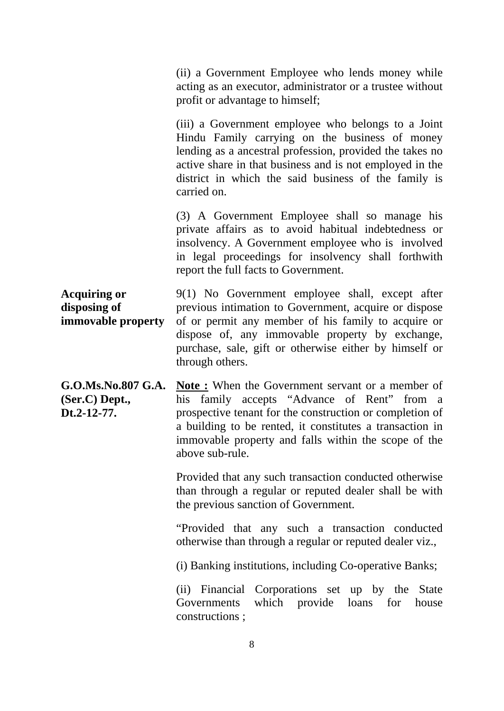(ii) a Government Employee who lends money while acting as an executor, administrator or a trustee without profit or advantage to himself;

(iii) a Government employee who belongs to a Joint Hindu Family carrying on the business of money lending as a ancestral profession, provided the takes no active share in that business and is not employed in the district in which the said business of the family is carried on.

(3) A Government Employee shall so manage his private affairs as to avoid habitual indebtedness or insolvency. A Government employee who is involved in legal proceedings for insolvency shall forthwith report the full facts to Government.

**Acquiring or disposing of immovable property** 9(1) No Government employee shall, except after previous intimation to Government, acquire or dispose of or permit any member of his family to acquire or dispose of, any immovable property by exchange, purchase, sale, gift or otherwise either by himself or through others.

**G.O.Ms.No.807 G.A. (Ser.C) Dept., Dt.2-12-77. Note :** When the Government servant or a member of his family accepts "Advance of Rent" from a prospective tenant for the construction or completion of a building to be rented, it constitutes a transaction in immovable property and falls within the scope of the above sub-rule.

> Provided that any such transaction conducted otherwise than through a regular or reputed dealer shall be with the previous sanction of Government.

> "Provided that any such a transaction conducted otherwise than through a regular or reputed dealer viz.,

(i) Banking institutions, including Co-operative Banks;

(ii) Financial Corporations set up by the State Governments which provide loans for house constructions ;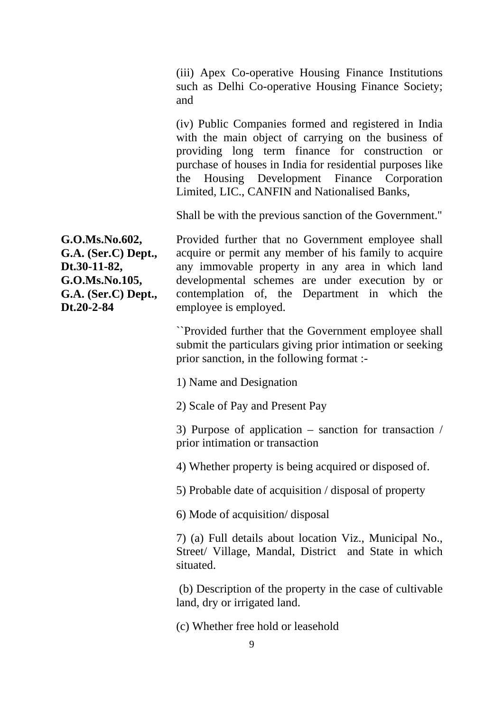(iii) Apex Co-operative Housing Finance Institutions such as Delhi Co-operative Housing Finance Society; and

(iv) Public Companies formed and registered in India with the main object of carrying on the business of providing long term finance for construction or purchase of houses in India for residential purposes like the Housing Development Finance Corporation Limited, LIC., CANFIN and Nationalised Banks,

Shall be with the previous sanction of the Government.''

**G.O.Ms.No.602, G.A. (Ser.C) Dept., Dt.30-11-82, G.O.Ms.No.105, G.A. (Ser.C) Dept., Dt.20-2-84**

Provided further that no Government employee shall acquire or permit any member of his family to acquire any immovable property in any area in which land developmental schemes are under execution by or contemplation of, the Department in which the employee is employed.

``Provided further that the Government employee shall submit the particulars giving prior intimation or seeking prior sanction, in the following format :-

1) Name and Designation

2) Scale of Pay and Present Pay

3) Purpose of application – sanction for transaction / prior intimation or transaction

4) Whether property is being acquired or disposed of.

5) Probable date of acquisition / disposal of property

6) Mode of acquisition/ disposal

7) (a) Full details about location Viz., Municipal No., Street/ Village, Mandal, District and State in which situated.

(b) Description of the property in the case of cultivable land, dry or irrigated land.

(c) Whether free hold or leasehold

9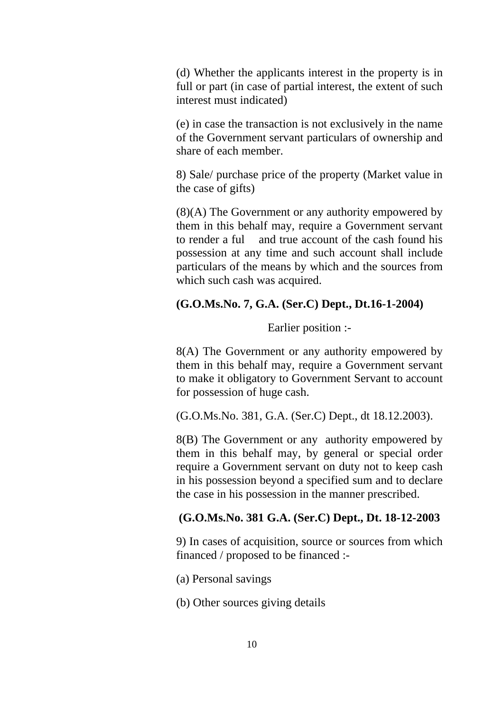(d) Whether the applicants interest in the property is in full or part (in case of partial interest, the extent of such interest must indicated)

(e) in case the transaction is not exclusively in the name of the Government servant particulars of ownership and share of each member.

8) Sale/ purchase price of the property (Market value in the case of gifts)

(8)(A) The Government or any authority empowered by them in this behalf may, require a Government servant to render a ful and true account of the cash found his possession at any time and such account shall include particulars of the means by which and the sources from which such cash was acquired.

## **(G.O.Ms.No. 7, G.A. (Ser.C) Dept., Dt.16-1-2004)**

Earlier position :-

8(A) The Government or any authority empowered by them in this behalf may, require a Government servant to make it obligatory to Government Servant to account for possession of huge cash.

(G.O.Ms.No. 381, G.A. (Ser.C) Dept., dt 18.12.2003).

8(B) The Government or any authority empowered by them in this behalf may, by general or special order require a Government servant on duty not to keep cash in his possession beyond a specified sum and to declare the case in his possession in the manner prescribed.

## **(G.O.Ms.No. 381 G.A. (Ser.C) Dept., Dt. 18-12-2003**

9) In cases of acquisition, source or sources from which financed / proposed to be financed :-

(a) Personal savings

(b) Other sources giving details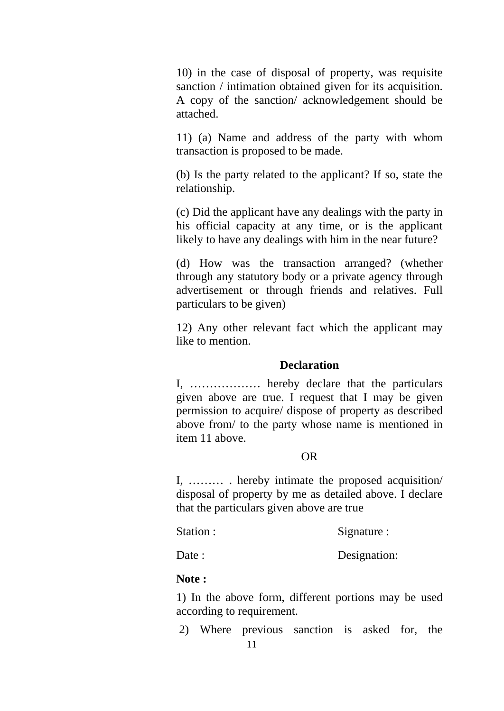10) in the case of disposal of property, was requisite sanction / intimation obtained given for its acquisition. A copy of the sanction/ acknowledgement should be attached.

11) (a) Name and address of the party with whom transaction is proposed to be made.

(b) Is the party related to the applicant? If so, state the relationship.

(c) Did the applicant have any dealings with the party in his official capacity at any time, or is the applicant likely to have any dealings with him in the near future?

(d) How was the transaction arranged? (whether through any statutory body or a private agency through advertisement or through friends and relatives. Full particulars to be given)

12) Any other relevant fact which the applicant may like to mention.

## **Declaration**

I, ……………… hereby declare that the particulars given above are true. I request that I may be given permission to acquire/ dispose of property as described above from/ to the party whose name is mentioned in item 11 above.

## OR

I, ……… . hereby intimate the proposed acquisition/ disposal of property by me as detailed above. I declare that the particulars given above are true

Station : Signature :

Date : Designation:

## **Note :**

1) In the above form, different portions may be used according to requirement.

2) Where previous sanction is asked for, the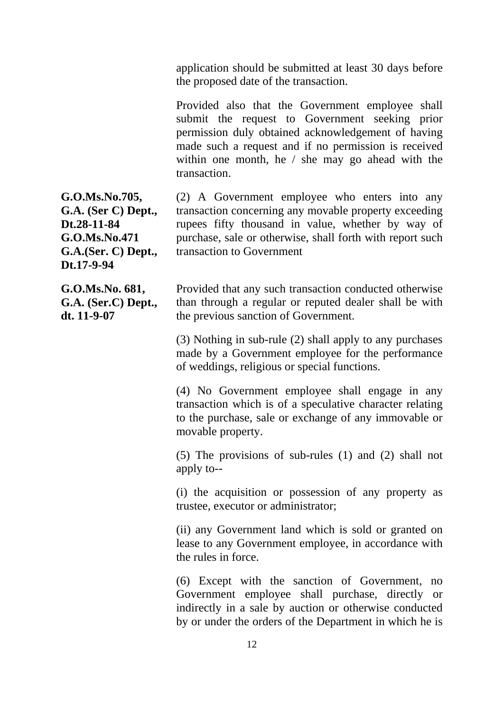application should be submitted at least 30 days before the proposed date of the transaction.

Provided also that the Government employee shall submit the request to Government seeking prior permission duly obtained acknowledgement of having made such a request and if no permission is received within one month, he / she may go ahead with the transaction.

(2) A Government employee who enters into any transaction concerning any movable property exceeding rupees fifty thousand in value, whether by way of purchase, sale or otherwise, shall forth with report such transaction to Government

> Provided that any such transaction conducted otherwise than through a regular or reputed dealer shall be with the previous sanction of Government.

(3) Nothing in sub-rule (2) shall apply to any purchases made by a Government employee for the performance of weddings, religious or special functions.

(4) No Government employee shall engage in any transaction which is of a speculative character relating to the purchase, sale or exchange of any immovable or movable property.

(5) The provisions of sub-rules (1) and (2) shall not apply to--

(i) the acquisition or possession of any property as trustee, executor or administrator;

(ii) any Government land which is sold or granted on lease to any Government employee, in accordance with the rules in force.

(6) Except with the sanction of Government, no Government employee shall purchase, directly or indirectly in a sale by auction or otherwise conducted by or under the orders of the Department in which he is

**G.O.Ms.No.705, G.A. (Ser C) Dept., Dt.28-11-84 G.O.Ms.No.471 G.A.(Ser. C) Dept., Dt.17-9-94**

**G.O.Ms.No. 681, G.A. (Ser.C) Dept., dt. 11-9-07**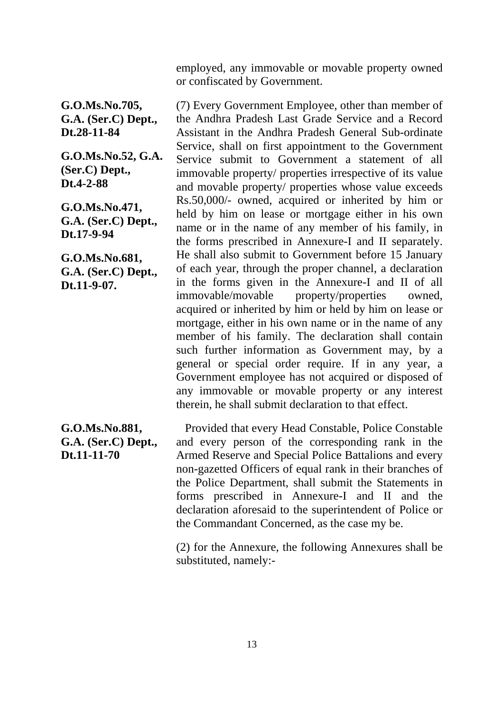employed, any immovable or movable property owned or confiscated by Government.

**G.O.Ms.No.705, G.A. (Ser.C) Dept., Dt.28-11-84**

**G.O.Ms.No.52, G.A. (Ser.C) Dept., Dt.4-2-88**

**G.O.Ms.No.471, G.A. (Ser.C) Dept., Dt.17-9-94**

**G.O.Ms.No.681, G.A. (Ser.C) Dept., Dt.11-9-07.**

## **G.O.Ms.No.881, G.A. (Ser.C) Dept., Dt.11-11-70**

(7) Every Government Employee, other than member of the Andhra Pradesh Last Grade Service and a Record Assistant in the Andhra Pradesh General Sub-ordinate Service, shall on first appointment to the Government Service submit to Government a statement of all immovable property/ properties irrespective of its value and movable property/ properties whose value exceeds Rs.50,000/- owned, acquired or inherited by him or held by him on lease or mortgage either in his own name or in the name of any member of his family, in the forms prescribed in Annexure-I and II separately. He shall also submit to Government before 15 January of each year, through the proper channel, a declaration in the forms given in the Annexure-I and II of all immovable/movable property/properties owned, acquired or inherited by him or held by him on lease or mortgage, either in his own name or in the name of any member of his family. The declaration shall contain such further information as Government may, by a general or special order require. If in any year, a Government employee has not acquired or disposed of any immovable or movable property or any interest therein, he shall submit declaration to that effect.

 Provided that every Head Constable, Police Constable and every person of the corresponding rank in the Armed Reserve and Special Police Battalions and every non-gazetted Officers of equal rank in their branches of the Police Department, shall submit the Statements in forms prescribed in Annexure-I and II and the declaration aforesaid to the superintendent of Police or the Commandant Concerned, as the case my be.

(2) for the Annexure, the following Annexures shall be substituted, namely:-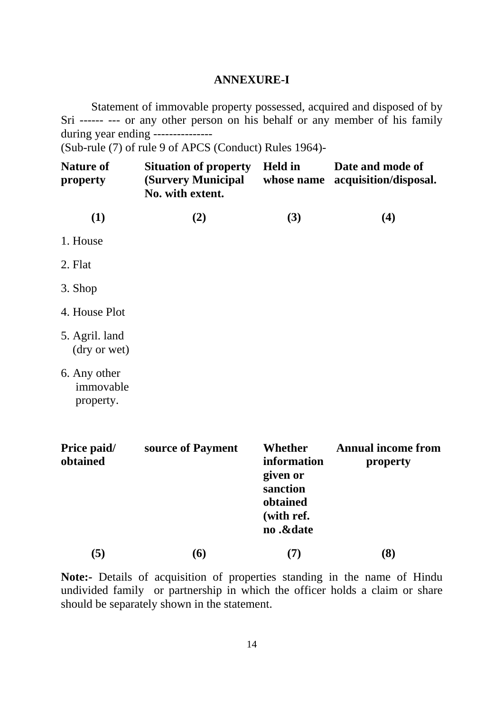## **ANNEXURE-I**

Statement of immovable property possessed, acquired and disposed of by Sri ------ --- or any other person on his behalf or any member of his family during year ending ---------------

(Sub-rule (7) of rule 9 of APCS (Conduct) Rules 1964)-

| <b>Nature of</b><br>property           | <b>Situation of property</b><br>(Survery Municipal<br>No. with extent. | <b>Held</b> in<br>whose name                                                          | Date and mode of<br>acquisition/disposal. |  |
|----------------------------------------|------------------------------------------------------------------------|---------------------------------------------------------------------------------------|-------------------------------------------|--|
| (1)                                    | (2)                                                                    | (3)                                                                                   | (4)                                       |  |
| 1. House                               |                                                                        |                                                                                       |                                           |  |
| 2. Flat                                |                                                                        |                                                                                       |                                           |  |
| 3. Shop                                |                                                                        |                                                                                       |                                           |  |
| 4. House Plot                          |                                                                        |                                                                                       |                                           |  |
| 5. Agril. land<br>(dry or wet)         |                                                                        |                                                                                       |                                           |  |
| 6. Any other<br>immovable<br>property. |                                                                        |                                                                                       |                                           |  |
| Price paid/<br>obtained                | source of Payment                                                      | Whether<br>information<br>given or<br>sanction<br>obtained<br>(with ref.<br>no .&date | <b>Annual income from</b><br>property     |  |

**Note:-** Details of acquisition of properties standing in the name of Hindu undivided family or partnership in which the officer holds a claim or share should be separately shown in the statement.

**(5) (6) (7) (8)**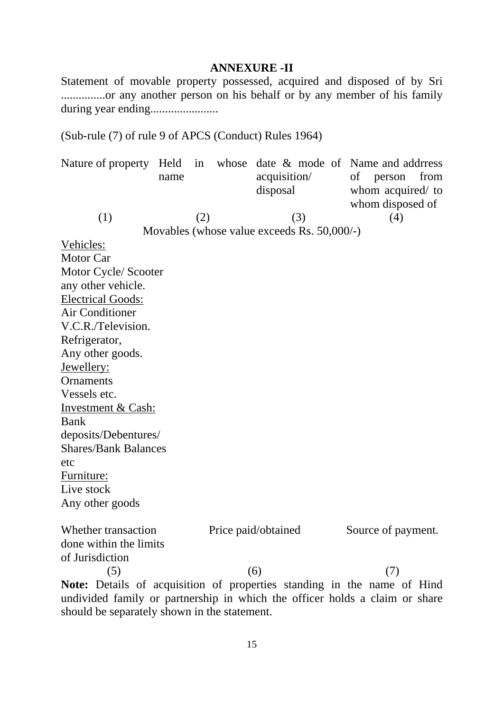## **ANNEXURE -II**

Statement of movable property possessed, acquired and disposed of by Sri ...............or any another person on his behalf or by any member of his family during year ending.......................

(Sub-rule (7) of rule 9 of APCS (Conduct) Rules 1964)

| Nature of property Held in whose date & mode of Name and address             |      |     |                                             |                    |      |
|------------------------------------------------------------------------------|------|-----|---------------------------------------------|--------------------|------|
|                                                                              | name |     | acquisition/                                | of<br>person       | from |
|                                                                              |      |     | disposal                                    | whom acquired/ to  |      |
|                                                                              |      |     |                                             | whom disposed of   |      |
| (1)                                                                          |      | (2) | (3)                                         | (4)                |      |
|                                                                              |      |     | Movables (whose value exceeds Rs. 50,000/-) |                    |      |
| Vehicles:                                                                    |      |     |                                             |                    |      |
| <b>Motor Car</b>                                                             |      |     |                                             |                    |      |
| Motor Cycle/ Scooter                                                         |      |     |                                             |                    |      |
| any other vehicle.                                                           |      |     |                                             |                    |      |
| <b>Electrical Goods:</b>                                                     |      |     |                                             |                    |      |
| <b>Air Conditioner</b>                                                       |      |     |                                             |                    |      |
| V.C.R./Television.                                                           |      |     |                                             |                    |      |
| Refrigerator,                                                                |      |     |                                             |                    |      |
| Any other goods.                                                             |      |     |                                             |                    |      |
| Jewellery:                                                                   |      |     |                                             |                    |      |
| Ornaments                                                                    |      |     |                                             |                    |      |
| Vessels etc.                                                                 |      |     |                                             |                    |      |
| Investment & Cash:                                                           |      |     |                                             |                    |      |
| Bank                                                                         |      |     |                                             |                    |      |
| deposits/Debentures/                                                         |      |     |                                             |                    |      |
| <b>Shares/Bank Balances</b>                                                  |      |     |                                             |                    |      |
| etc                                                                          |      |     |                                             |                    |      |
| Furniture:                                                                   |      |     |                                             |                    |      |
| Live stock                                                                   |      |     |                                             |                    |      |
| Any other goods                                                              |      |     |                                             |                    |      |
|                                                                              |      |     |                                             |                    |      |
| Whether transaction                                                          |      |     | Price paid/obtained                         | Source of payment. |      |
| done within the limits                                                       |      |     |                                             |                    |      |
| of Jurisdiction                                                              |      |     |                                             |                    |      |
| (5)                                                                          |      |     | (6)                                         | (7)                |      |
| Note: Details of acquisition of properties standing in the name of Hind      |      |     |                                             |                    |      |
| undivided family or pertaeration in which the officer holds a claim or share |      |     |                                             |                    |      |

undivided family or partnership in which the officer holds a claim or share should be separately shown in the statement.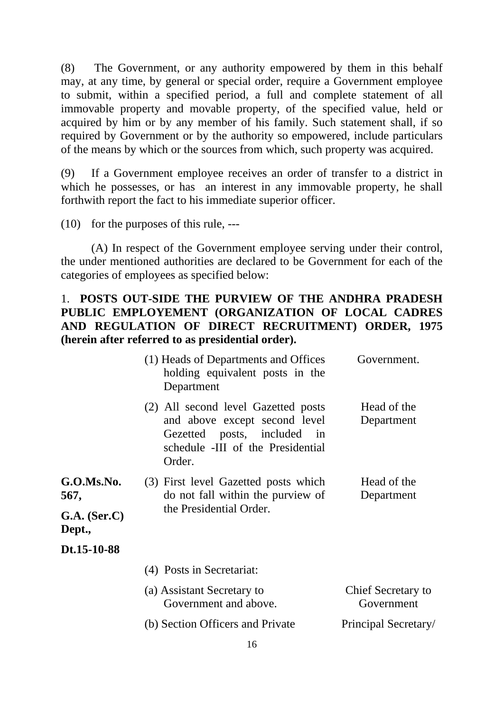(8) The Government, or any authority empowered by them in this behalf may, at any time, by general or special order, require a Government employee to submit, within a specified period, a full and complete statement of all immovable property and movable property, of the specified value, held or acquired by him or by any member of his family. Such statement shall, if so required by Government or by the authority so empowered, include particulars of the means by which or the sources from which, such property was acquired.

(9) If a Government employee receives an order of transfer to a district in which he possesses, or has an interest in any immovable property, he shall forthwith report the fact to his immediate superior officer.

(10) for the purposes of this rule, ---

(A) In respect of the Government employee serving under their control, the under mentioned authorities are declared to be Government for each of the categories of employees as specified below:

## 1. **POSTS OUT-SIDE THE PURVIEW OF THE ANDHRA PRADESH PUBLIC EMPLOYEMENT (ORGANIZATION OF LOCAL CADRES AND REGULATION OF DIRECT RECRUITMENT) ORDER, 1975 (herein after referred to as presidential order).**

|                          | (1) Heads of Departments and Offices<br>holding equivalent posts in the<br>Department                                                              | Government.                      |
|--------------------------|----------------------------------------------------------------------------------------------------------------------------------------------------|----------------------------------|
|                          | (2) All second level Gazetted posts<br>and above except second level<br>Gezetted posts, included in<br>schedule -III of the Presidential<br>Order. | Head of the<br>Department        |
| G.O.Ms.No.<br>567,       | (3) First level Gazetted posts which<br>do not fall within the purview of                                                                          | Head of the<br>Department        |
| $G.A.$ (Ser.C)<br>Dept., | the Presidential Order.                                                                                                                            |                                  |
| Dt.15-10-88              |                                                                                                                                                    |                                  |
|                          | (4) Posts in Secretariat:                                                                                                                          |                                  |
|                          | (a) Assistant Secretary to<br>Government and above.                                                                                                | Chief Secretary to<br>Government |
|                          | (b) Section Officers and Private                                                                                                                   | Principal Secretary/             |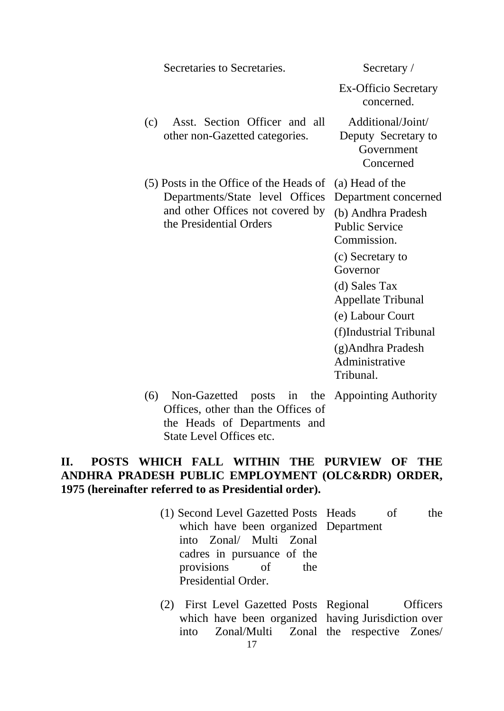Secretaries to Secretaries. Secretary /

Ex-Officio Secretary concerned.

- (c) Asst. Section Officer and all other non-Gazetted categories.
- (5) Posts in the Office of the Heads of (a) Head of the Departments/State level Offices and other Offices not covered by the Presidential Orders

Additional/Joint/ Deputy Secretary to Government Concerned

Department concerned (b) Andhra Pradesh Public Service Commission. (c) Secretary to Governor (d) Sales Tax Appellate Tribunal (e) Labour Court (f)Industrial Tribunal (g)Andhra Pradesh Administrative

- Tribunal.
- (6) Non-Gazetted posts in the Appointing Authority Offices, other than the Offices of the Heads of Departments and State Level Offices etc.

## **II. POSTS WHICH FALL WITHIN THE PURVIEW OF THE ANDHRA PRADESH PUBLIC EMPLOYMENT (OLC&RDR) ORDER, 1975 (hereinafter referred to as Presidential order).**

- (1) Second Level Gazetted Posts Heads of the which have been organized Department into Zonal/ Multi Zonal cadres in pursuance of the provisions of the Presidential Order.
- (2) First Level Gazetted Posts Regional Officers which have been organized having Jurisdiction over into Zonal/Multi Zonal the respective Zones/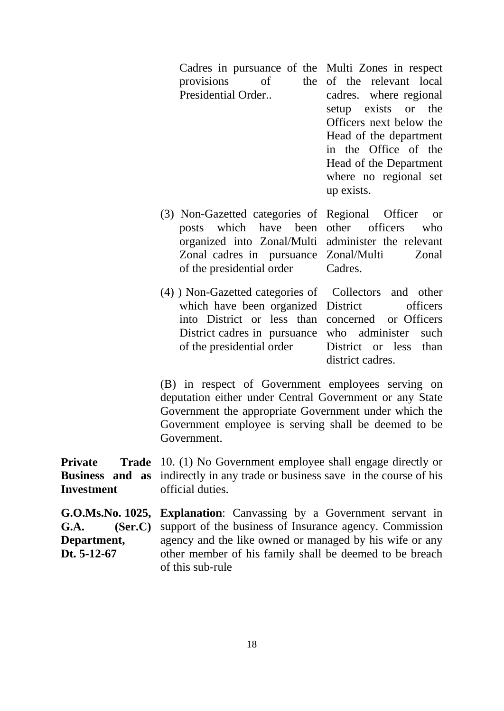Cadres in pursuance of the Multi Zones in respect provisions of Presidential Order.. of the relevant local cadres. where regional setup exists or the Officers next below the Head of the department in the Office of the Head of the Department where no regional set up exists.

officers who

- (3) Non-Gazetted categories of Regional Officer or posts which have been organized into Zonal/Multi administer the relevant Zonal cadres in pursuance Zonal/Multi Zonal of the presidential order Cadres.
- (4) ) Non-Gazetted categories of which have been organized District officers into District or less than concerned District cadres in pursuance who administer such of the presidential order Collectors and other or Officers District or less than district cadres.

(B) in respect of Government employees serving on deputation either under Central Government or any State Government the appropriate Government under which the Government employee is serving shall be deemed to be Government.

**Private** Trade 10. (1) No Government employee shall engage directly or **Business and as Investment** indirectly in any trade or business save in the course of his official duties.

**G.O.Ms.No. 1025, Explanation**: Canvassing by a Government servant in **G.A. (Ser.C) Department, Dt. 5-12-67** support of the business of Insurance agency. Commission agency and the like owned or managed by his wife or any other member of his family shall be deemed to be breach of this sub-rule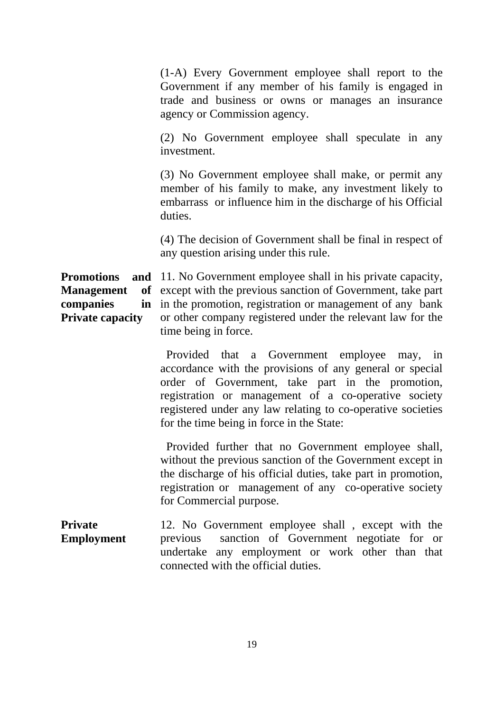(1-A) Every Government employee shall report to the Government if any member of his family is engaged in trade and business or owns or manages an insurance agency or Commission agency.

(2) No Government employee shall speculate in any investment.

(3) No Government employee shall make, or permit any member of his family to make, any investment likely to embarrass or influence him in the discharge of his Official duties.

(4) The decision of Government shall be final in respect of any question arising under this rule.

**Promotions Management** companies **Private capacity** and 11. No Government employee shall in his private capacity, of except with the previous sanction of Government, take part in in the promotion, registration or management of any bank or other company registered under the relevant law for the time being in force.

> Provided that a Government employee may, in accordance with the provisions of any general or special order of Government, take part in the promotion, registration or management of a co-operative society registered under any law relating to co-operative societies for the time being in force in the State:

> Provided further that no Government employee shall, without the previous sanction of the Government except in the discharge of his official duties, take part in promotion, registration or management of any co-operative society for Commercial purpose.

**Private Employment** 12. No Government employee shall , except with the previous sanction of Government negotiate for or undertake any employment or work other than that connected with the official duties.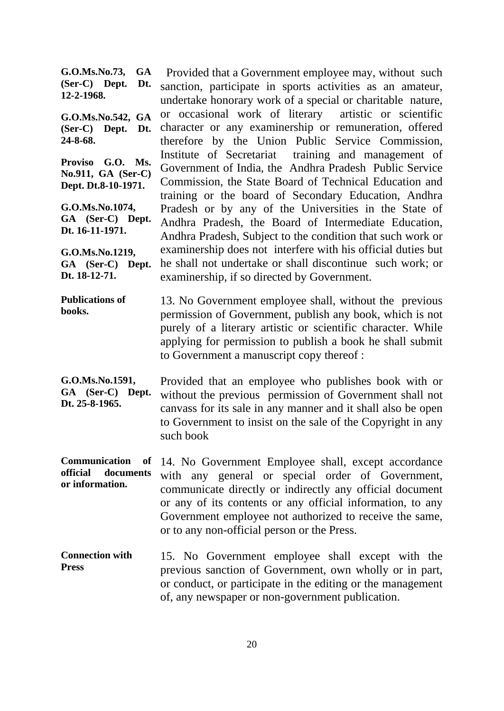**G.O.Ms.No.73, GA (Ser-C) Dept. Dt. 12-2-1968. G.O.Ms.No.542, GA (Ser-C) Dept. Dt. 24-8-68. Proviso G.O. Ms. No.911, GA (Ser-C) Dept. Dt.8-10-1971. G.O.Ms.No.1074, GA (Ser-C) Dept. Dt. 16-11-1971. G.O.Ms.No.1219, GA (Ser-C) Dept. Dt. 18-12-71.** Provided that a Government employee may, without such sanction, participate in sports activities as an amateur, undertake honorary work of a special or charitable nature, or occasional work of literary artistic or scientific character or any examinership or remuneration, offered therefore by the Union Public Service Commission, Institute of Secretariat training and management of Government of India, the Andhra Pradesh Public Service Commission, the State Board of Technical Education and training or the board of Secondary Education, Andhra Pradesh or by any of the Universities in the State of Andhra Pradesh, the Board of Intermediate Education, Andhra Pradesh, Subject to the condition that such work or examinership does not interfere with his official duties but he shall not undertake or shall discontinue such work; or examinership, if so directed by Government.

**Publications of books.** 13. No Government employee shall, without the previous permission of Government, publish any book, which is not purely of a literary artistic or scientific character. While applying for permission to publish a book he shall submit to Government a manuscript copy thereof :

**G.O.Ms.No.1591, GA (Ser-C) Dept. Dt. 25-8-1965.** Provided that an employee who publishes book with or without the previous permission of Government shall not canvass for its sale in any manner and it shall also be open to Government to insist on the sale of the Copyright in any such book

**Communication of official documents or information.** 14. No Government Employee shall, except accordance with any general or special order of Government, communicate directly or indirectly any official document or any of its contents or any official information, to any Government employee not authorized to receive the same, or to any non-official person or the Press.

**Connection with Press** 15. No Government employee shall except with the previous sanction of Government, own wholly or in part, or conduct, or participate in the editing or the management of, any newspaper or non-government publication.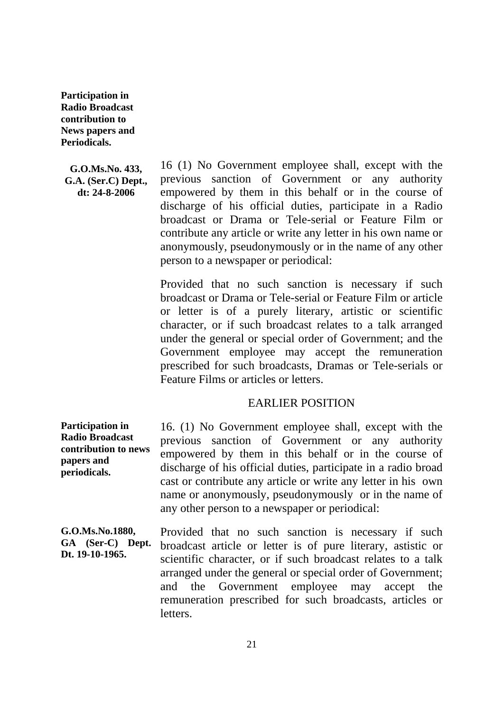**Participation in Radio Broadcast contribution to News papers and Periodicals.**

**G.O.Ms.No. 433, G.A. (Ser.C) Dept., dt: 24-8-2006**

16 (1) No Government employee shall, except with the previous sanction of Government or any authority empowered by them in this behalf or in the course of discharge of his official duties, participate in a Radio broadcast or Drama or Tele-serial or Feature Film or contribute any article or write any letter in his own name or anonymously, pseudonymously or in the name of any other person to a newspaper or periodical:

Provided that no such sanction is necessary if such broadcast or Drama or Tele-serial or Feature Film or article or letter is of a purely literary, artistic or scientific character, or if such broadcast relates to a talk arranged under the general or special order of Government; and the Government employee may accept the remuneration prescribed for such broadcasts, Dramas or Tele-serials or Feature Films or articles or letters.

### EARLIER POSITION

**Participation in Radio Broadcast contribution to news papers and periodicals.** 16. (1) No Government employee shall, except with the previous sanction of Government or any authority empowered by them in this behalf or in the course of discharge of his official duties, participate in a radio broad cast or contribute any article or write any letter in his own name or anonymously, pseudonymously or in the name of any other person to a newspaper or periodical:

**G.O.Ms.No.1880, GA (Ser-C) Dept. Dt. 19-10-1965.** Provided that no such sanction is necessary if such broadcast article or letter is of pure literary, astistic or scientific character, or if such broadcast relates to a talk arranged under the general or special order of Government; and the Government employee may accept the remuneration prescribed for such broadcasts, articles or letters.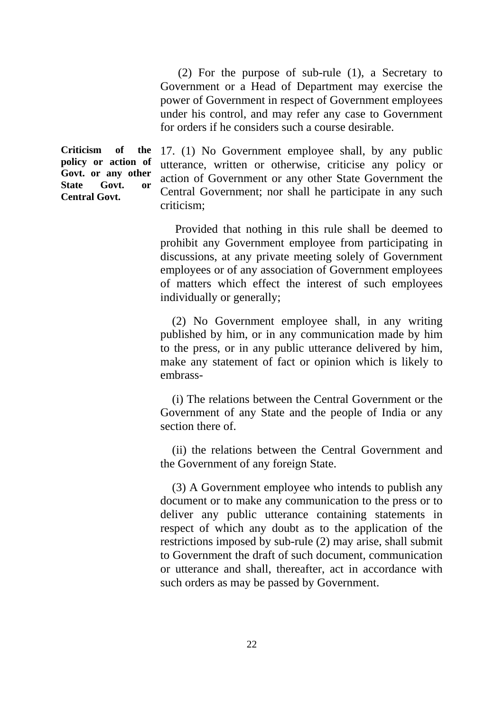(2) For the purpose of sub-rule (1), a Secretary to Government or a Head of Department may exercise the power of Government in respect of Government employees under his control, and may refer any case to Government for orders if he considers such a course desirable.

**Criticism of the policy or action of Govt. or any other State Govt. or Central Govt.**

17. (1) No Government employee shall, by any public utterance, written or otherwise, criticise any policy or action of Government or any other State Government the Central Government; nor shall he participate in any such criticism;

 Provided that nothing in this rule shall be deemed to prohibit any Government employee from participating in discussions, at any private meeting solely of Government employees or of any association of Government employees of matters which effect the interest of such employees individually or generally;

 (2) No Government employee shall, in any writing published by him, or in any communication made by him to the press, or in any public utterance delivered by him, make any statement of fact or opinion which is likely to embrass-

 (i) The relations between the Central Government or the Government of any State and the people of India or any section there of.

 (ii) the relations between the Central Government and the Government of any foreign State.

 (3) A Government employee who intends to publish any document or to make any communication to the press or to deliver any public utterance containing statements in respect of which any doubt as to the application of the restrictions imposed by sub-rule (2) may arise, shall submit to Government the draft of such document, communication or utterance and shall, thereafter, act in accordance with such orders as may be passed by Government.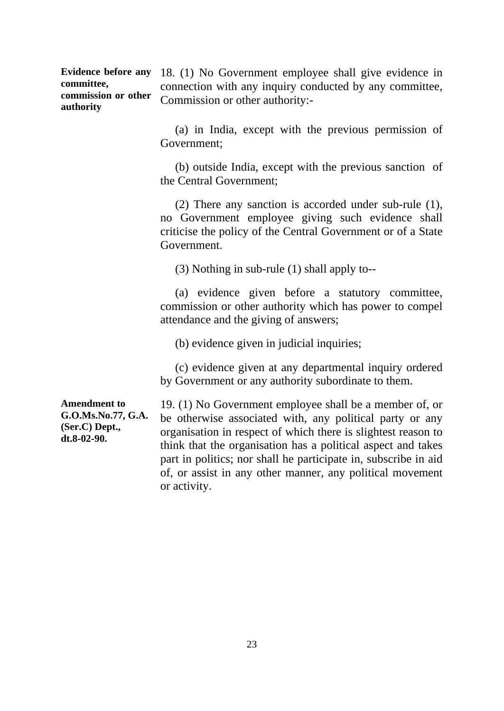**Evidence before any committee, commission or other authority**

18. (1) No Government employee shall give evidence in connection with any inquiry conducted by any committee, Commission or other authority:-

 (a) in India, except with the previous permission of Government;

 (b) outside India, except with the previous sanction of the Central Government;

 (2) There any sanction is accorded under sub-rule (1), no Government employee giving such evidence shall criticise the policy of the Central Government or of a State Government.

(3) Nothing in sub-rule (1) shall apply to--

 (a) evidence given before a statutory committee, commission or other authority which has power to compel attendance and the giving of answers;

(b) evidence given in judicial inquiries;

 (c) evidence given at any departmental inquiry ordered by Government or any authority subordinate to them.

**Amendment to G.O.Ms.No.77, G.A. (Ser.C) Dept., dt.8-02-90.**

19. (1) No Government employee shall be a member of, or be otherwise associated with, any political party or any organisation in respect of which there is slightest reason to think that the organisation has a political aspect and takes part in politics; nor shall he participate in, subscribe in aid of, or assist in any other manner, any political movement or activity.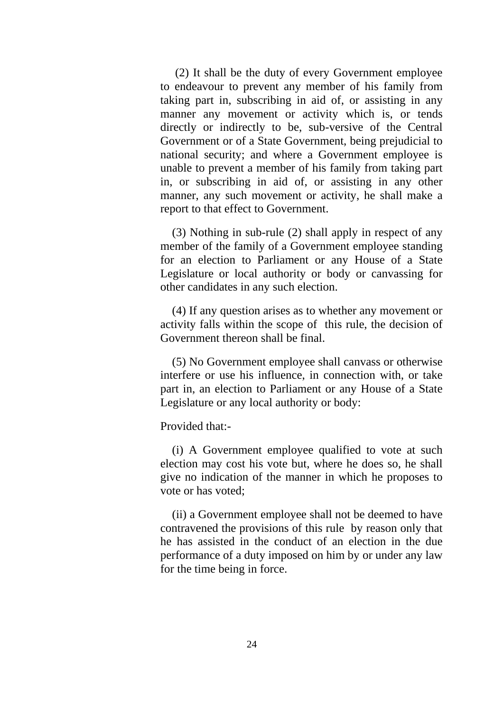(2) It shall be the duty of every Government employee to endeavour to prevent any member of his family from taking part in, subscribing in aid of, or assisting in any manner any movement or activity which is, or tends directly or indirectly to be, sub-versive of the Central Government or of a State Government, being prejudicial to national security; and where a Government employee is unable to prevent a member of his family from taking part in, or subscribing in aid of, or assisting in any other manner, any such movement or activity, he shall make a report to that effect to Government.

 (3) Nothing in sub-rule (2) shall apply in respect of any member of the family of a Government employee standing for an election to Parliament or any House of a State Legislature or local authority or body or canvassing for other candidates in any such election.

 (4) If any question arises as to whether any movement or activity falls within the scope of this rule, the decision of Government thereon shall be final.

 (5) No Government employee shall canvass or otherwise interfere or use his influence, in connection with, or take part in, an election to Parliament or any House of a State Legislature or any local authority or body:

Provided that:-

 (i) A Government employee qualified to vote at such election may cost his vote but, where he does so, he shall give no indication of the manner in which he proposes to vote or has voted;

 (ii) a Government employee shall not be deemed to have contravened the provisions of this rule by reason only that he has assisted in the conduct of an election in the due performance of a duty imposed on him by or under any law for the time being in force.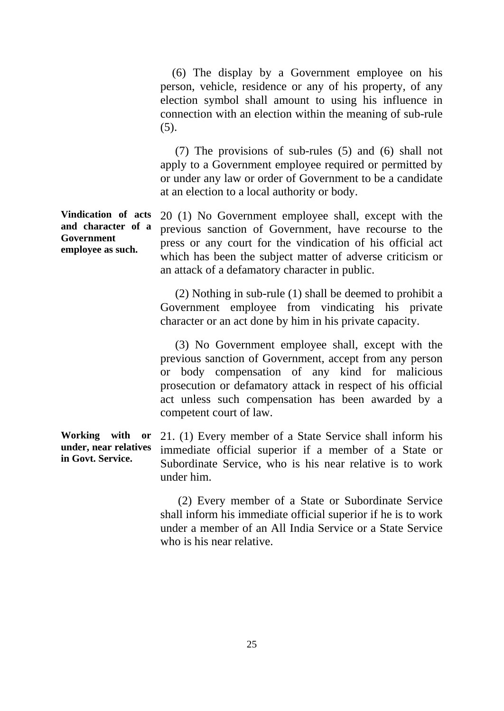(6) The display by a Government employee on his person, vehicle, residence or any of his property, of any election symbol shall amount to using his influence in connection with an election within the meaning of sub-rule  $(5)$ .

 (7) The provisions of sub-rules (5) and (6) shall not apply to a Government employee required or permitted by or under any law or order of Government to be a candidate at an election to a local authority or body.

**Vindication of acts and character of a Government employee as such.** 20 (1) No Government employee shall, except with the previous sanction of Government, have recourse to the press or any court for the vindication of his official act which has been the subject matter of adverse criticism or an attack of a defamatory character in public.

> (2) Nothing in sub-rule (1) shall be deemed to prohibit a Government employee from vindicating his private character or an act done by him in his private capacity.

> (3) No Government employee shall, except with the previous sanction of Government, accept from any person or body compensation of any kind for malicious prosecution or defamatory attack in respect of his official act unless such compensation has been awarded by a competent court of law.

**Working with or under, near relatives in Govt. Service.** 21. (1) Every member of a State Service shall inform his immediate official superior if a member of a State or Subordinate Service, who is his near relative is to work under him.

25

 (2) Every member of a State or Subordinate Service shall inform his immediate official superior if he is to work under a member of an All India Service or a State Service who is his near relative.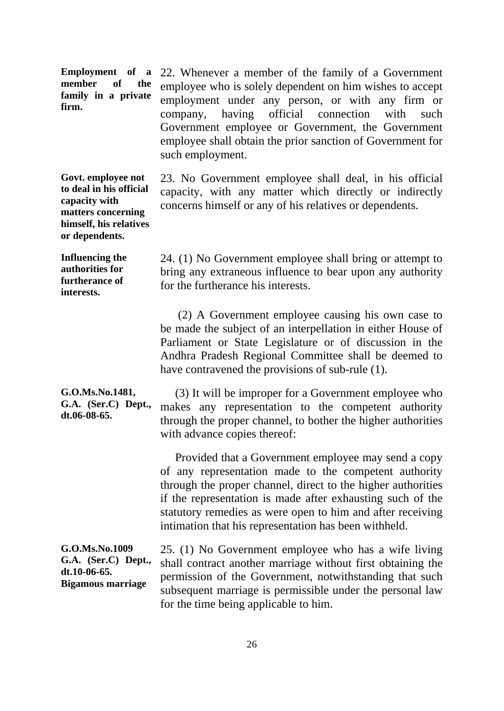**Employment of a member of the family in a private firm.**

22. Whenever a member of the family of a Government employee who is solely dependent on him wishes to accept employment under any person, or with any firm or company, having official connection with such Government employee or Government, the Government employee shall obtain the prior sanction of Government for such employment.

**Govt. employee not to deal in his official capacity with matters concerning himself, his relatives or dependents.** 

**Influencing the authorities for furtherance of interests.**

concerns himself or any of his relatives or dependents.

23. No Government employee shall deal, in his official capacity, with any matter which directly or indirectly

24. (1) No Government employee shall bring or attempt to bring any extraneous influence to bear upon any authority for the furtherance his interests.

 (2) A Government employee causing his own case to be made the subject of an interpellation in either House of Parliament or State Legislature or of discussion in the Andhra Pradesh Regional Committee shall be deemed to have contravened the provisions of sub-rule (1).

**G.O.Ms.No.1481, G.A. (Ser.C) Dept., dt.06-08-65.** (3) It will be improper for a Government employee who makes any representation to the competent authority through the proper channel, to bother the higher authorities with advance copies thereof:

> Provided that a Government employee may send a copy of any representation made to the competent authority through the proper channel, direct to the higher authorities if the representation is made after exhausting such of the statutory remedies as were open to him and after receiving intimation that his representation has been withheld.

**G.O.Ms.No.1009 G.A. (Ser.C) Dept., dt.10-06-65. Bigamous marriage**

25. (1) No Government employee who has a wife living shall contract another marriage without first obtaining the permission of the Government, notwithstanding that such subsequent marriage is permissible under the personal law for the time being applicable to him.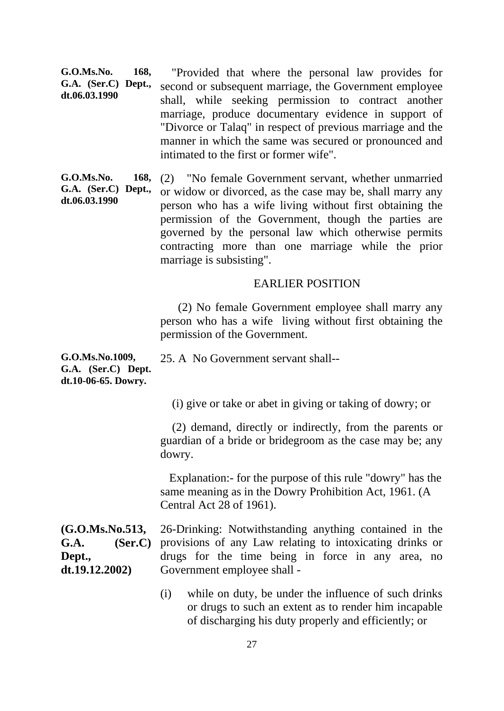**G.O.Ms.No. 168, G.A. (Ser.C) Dept., dt.06.03.1990** "Provided that where the personal law provides for second or subsequent marriage, the Government employee shall, while seeking permission to contract another marriage, produce documentary evidence in support of "Divorce or Talaq" in respect of previous marriage and the manner in which the same was secured or pronounced and intimated to the first or former wife".

G.O.Ms. No. **G.A. (Ser.C) Dept., dt.06.03.1990** (2) "No female Government servant, whether unmarried or widow or divorced, as the case may be, shall marry any person who has a wife living without first obtaining the permission of the Government, though the parties are governed by the personal law which otherwise permits contracting more than one marriage while the prior marriage is subsisting".

#### EARLIER POSITION

 (2) No female Government employee shall marry any person who has a wife living without first obtaining the permission of the Government.

**G.O.Ms.No.1009, G.A. (Ser.C) Dept. dt.10-06-65. Dowry.** 25. A No Government servant shall--

(i) give or take or abet in giving or taking of dowry; or

 (2) demand, directly or indirectly, from the parents or guardian of a bride or bridegroom as the case may be; any dowry.

 Explanation:- for the purpose of this rule "dowry" has the same meaning as in the Dowry Prohibition Act, 1961. (A Central Act 28 of 1961).

**(G.O.Ms.No.513, G.A. (Ser.C) Dept., dt.19.12.2002)** 26-Drinking: Notwithstanding anything contained in the provisions of any Law relating to intoxicating drinks or drugs for the time being in force in any area, no Government employee shall -

> (i) while on duty, be under the influence of such drinks or drugs to such an extent as to render him incapable of discharging his duty properly and efficiently; or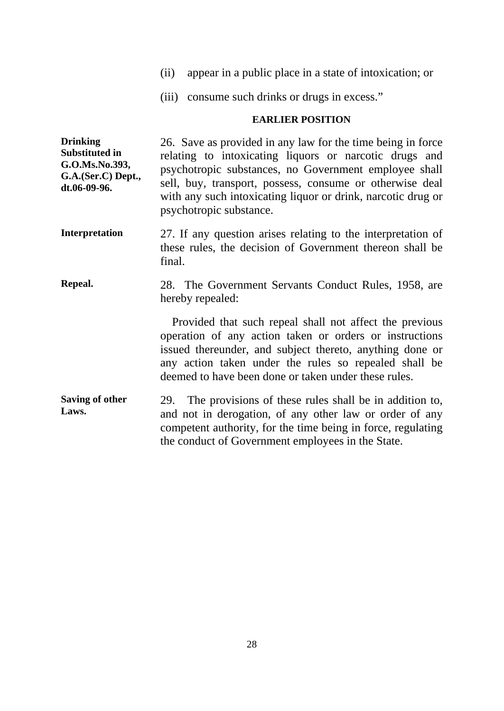- (ii) appear in a public place in a state of intoxication; or
- (iii) consume such drinks or drugs in excess."

#### **EARLIER POSITION**

**Drinking Substituted in G.O.Ms.No.393, G.A.(Ser.C) Dept., dt.06-09-96.** 26. Save as provided in any law for the time being in force relating to intoxicating liquors or narcotic drugs and psychotropic substances, no Government employee shall sell, buy, transport, possess, consume or otherwise deal with any such intoxicating liquor or drink, narcotic drug or psychotropic substance.

- **Interpretation** 27. If any question arises relating to the interpretation of these rules, the decision of Government thereon shall be final.
- **Repeal.** 28. The Government Servants Conduct Rules, 1958, are hereby repealed:

 Provided that such repeal shall not affect the previous operation of any action taken or orders or instructions issued thereunder, and subject thereto, anything done or any action taken under the rules so repealed shall be deemed to have been done or taken under these rules.

**Saving of other Laws.** 29. The provisions of these rules shall be in addition to, and not in derogation, of any other law or order of any competent authority, for the time being in force, regulating the conduct of Government employees in the State.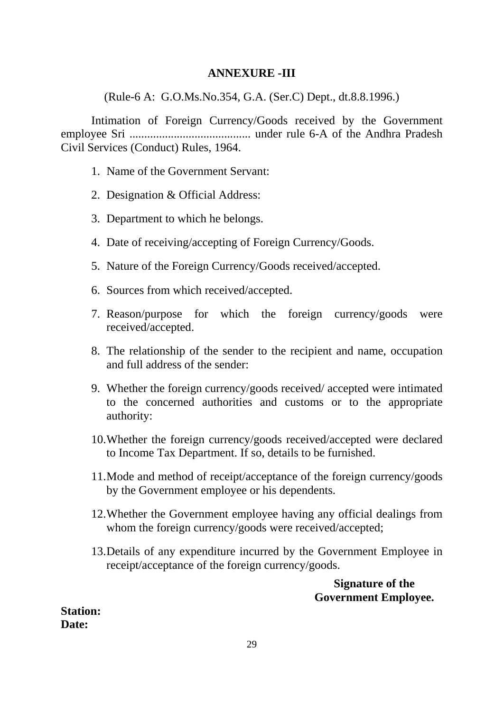## **ANNEXURE -III**

(Rule-6 A: G.O.Ms.No.354, G.A. (Ser.C) Dept., dt.8.8.1996.)

Intimation of Foreign Currency/Goods received by the Government employee Sri ......................................... under rule 6-A of the Andhra Pradesh Civil Services (Conduct) Rules, 1964.

- 1. Name of the Government Servant:
- 2. Designation & Official Address:
- 3. Department to which he belongs.
- 4. Date of receiving/accepting of Foreign Currency/Goods.
- 5. Nature of the Foreign Currency/Goods received/accepted.
- 6. Sources from which received/accepted.
- 7. Reason/purpose for which the foreign currency/goods were received/accepted.
- 8. The relationship of the sender to the recipient and name, occupation and full address of the sender:
- 9. Whether the foreign currency/goods received/ accepted were intimated to the concerned authorities and customs or to the appropriate authority:
- 10.Whether the foreign currency/goods received/accepted were declared to Income Tax Department. If so, details to be furnished.
- 11.Mode and method of receipt/acceptance of the foreign currency/goods by the Government employee or his dependents.
- 12.Whether the Government employee having any official dealings from whom the foreign currency/goods were received/accepted;
- 13.Details of any expenditure incurred by the Government Employee in receipt/acceptance of the foreign currency/goods.

**Signature of the Government Employee.**

**Station: Date:**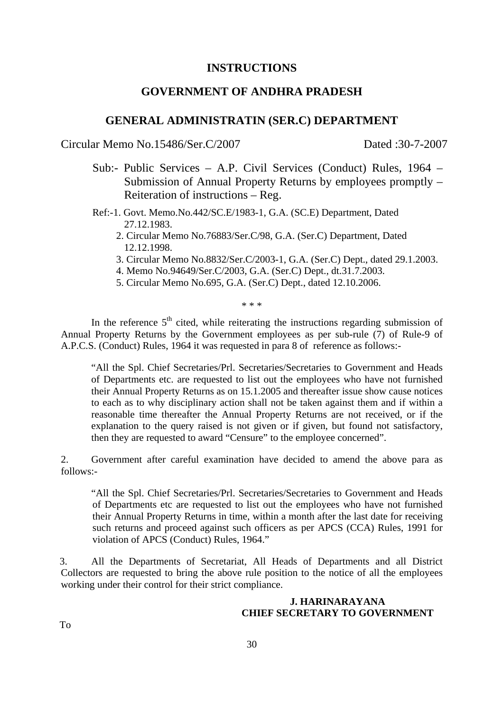#### **INSTRUCTIONS**

### **GOVERNMENT OF ANDHRA PRADESH**

#### **GENERAL ADMINISTRATIN (SER.C) DEPARTMENT**

Circular Memo No.15486/Ser.C/2007 Dated :30-7-2007

- Sub:- Public Services A.P. Civil Services (Conduct) Rules, 1964 Submission of Annual Property Returns by employees promptly – Reiteration of instructions – Reg.
- Ref:-1. Govt. Memo.No.442/SC.E/1983-1, G.A. (SC.E) Department, Dated 27.12.1983.
	- 2. Circular Memo No.76883/Ser.C/98, G.A. (Ser.C) Department, Dated 12.12.1998.
	- 3. Circular Memo No.8832/Ser.C/2003-1, G.A. (Ser.C) Dept., dated 29.1.2003.
	- 4. Memo No.94649/Ser.C/2003, G.A. (Ser.C) Dept., dt.31.7.2003.
	- 5. Circular Memo No.695, G.A. (Ser.C) Dept., dated 12.10.2006.

\* \* \*

In the reference  $5<sup>th</sup>$  cited, while reiterating the instructions regarding submission of Annual Property Returns by the Government employees as per sub-rule (7) of Rule-9 of A.P.C.S. (Conduct) Rules, 1964 it was requested in para 8 of reference as follows:-

"All the Spl. Chief Secretaries/Prl. Secretaries/Secretaries to Government and Heads of Departments etc. are requested to list out the employees who have not furnished their Annual Property Returns as on 15.1.2005 and thereafter issue show cause notices to each as to why disciplinary action shall not be taken against them and if within a reasonable time thereafter the Annual Property Returns are not received, or if the explanation to the query raised is not given or if given, but found not satisfactory, then they are requested to award "Censure" to the employee concerned".

2. Government after careful examination have decided to amend the above para as follows:-

"All the Spl. Chief Secretaries/Prl. Secretaries/Secretaries to Government and Heads of Departments etc are requested to list out the employees who have not furnished their Annual Property Returns in time, within a month after the last date for receiving such returns and proceed against such officers as per APCS (CCA) Rules, 1991 for violation of APCS (Conduct) Rules, 1964."

3. All the Departments of Secretariat, All Heads of Departments and all District Collectors are requested to bring the above rule position to the notice of all the employees working under their control for their strict compliance.

#### **J. HARINARAYANA CHIEF SECRETARY TO GOVERNMENT**

To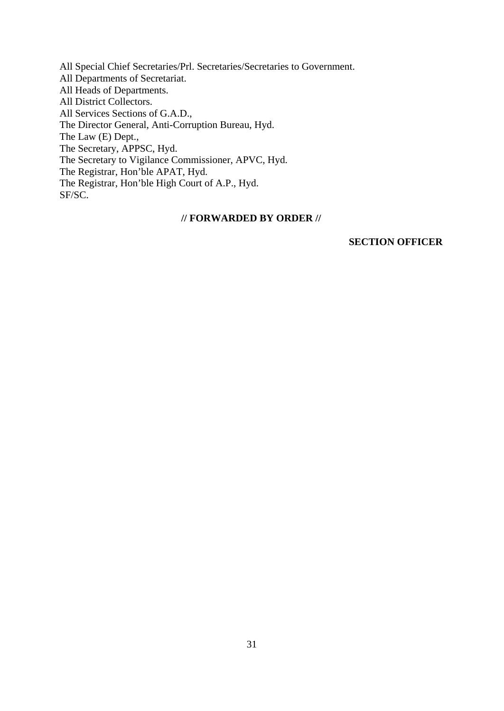All Special Chief Secretaries/Prl. Secretaries/Secretaries to Government. All Departments of Secretariat. All Heads of Departments. All District Collectors. All Services Sections of G.A.D., The Director General, Anti-Corruption Bureau, Hyd. The Law (E) Dept., The Secretary, APPSC, Hyd. The Secretary to Vigilance Commissioner, APVC, Hyd. The Registrar, Hon'ble APAT, Hyd. The Registrar, Hon'ble High Court of A.P., Hyd. SF/SC.

#### **// FORWARDED BY ORDER //**

#### **SECTION OFFICER**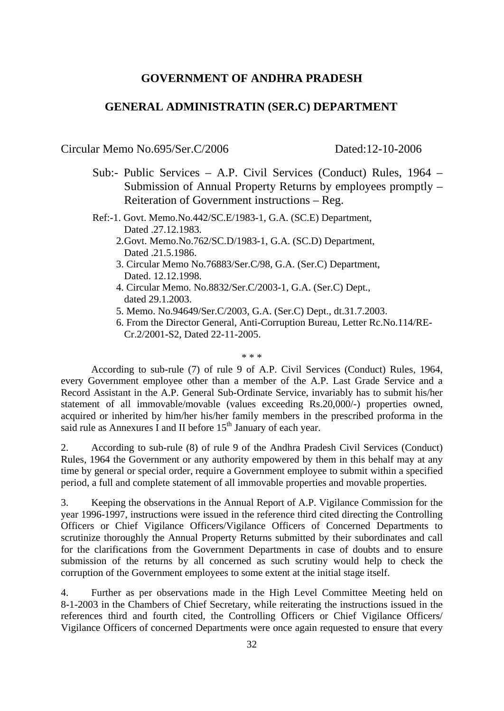## **GOVERNMENT OF ANDHRA PRADESH**

## **GENERAL ADMINISTRATIN (SER.C) DEPARTMENT**

Circular Memo No.695/Ser.C/2006 Dated:12-10-2006

- Sub:- Public Services A.P. Civil Services (Conduct) Rules, 1964 Submission of Annual Property Returns by employees promptly – Reiteration of Government instructions – Reg.
- Ref:-1. Govt. Memo.No.442/SC.E/1983-1, G.A. (SC.E) Department, Dated .27.12.1983.
	- 2.Govt. Memo.No.762/SC.D/1983-1, G.A. (SC.D) Department, Dated .21.5.1986.
	- 3. Circular Memo No.76883/Ser.C/98, G.A. (Ser.C) Department, Dated. 12.12.1998.
	- 4. Circular Memo. No.8832/Ser.C/2003-1, G.A. (Ser.C) Dept., dated 29.1.2003.
	- 5. Memo. No.94649/Ser.C/2003, G.A. (Ser.C) Dept., dt.31.7.2003.
	- 6. From the Director General, Anti-Corruption Bureau, Letter Rc.No.114/RE-Cr.2/2001-S2, Dated 22-11-2005.

#### \* \* \*

According to sub-rule (7) of rule 9 of A.P. Civil Services (Conduct) Rules, 1964, every Government employee other than a member of the A.P. Last Grade Service and a Record Assistant in the A.P. General Sub-Ordinate Service, invariably has to submit his/her statement of all immovable/movable (values exceeding Rs.20,000/-) properties owned, acquired or inherited by him/her his/her family members in the prescribed proforma in the said rule as Annexures I and II before  $15<sup>th</sup>$  January of each year.

2. According to sub-rule (8) of rule 9 of the Andhra Pradesh Civil Services (Conduct) Rules, 1964 the Government or any authority empowered by them in this behalf may at any time by general or special order, require a Government employee to submit within a specified period, a full and complete statement of all immovable properties and movable properties.

3. Keeping the observations in the Annual Report of A.P. Vigilance Commission for the year 1996-1997, instructions were issued in the reference third cited directing the Controlling Officers or Chief Vigilance Officers/Vigilance Officers of Concerned Departments to scrutinize thoroughly the Annual Property Returns submitted by their subordinates and call for the clarifications from the Government Departments in case of doubts and to ensure submission of the returns by all concerned as such scrutiny would help to check the corruption of the Government employees to some extent at the initial stage itself.

4. Further as per observations made in the High Level Committee Meeting held on 8-1-2003 in the Chambers of Chief Secretary, while reiterating the instructions issued in the references third and fourth cited, the Controlling Officers or Chief Vigilance Officers/ Vigilance Officers of concerned Departments were once again requested to ensure that every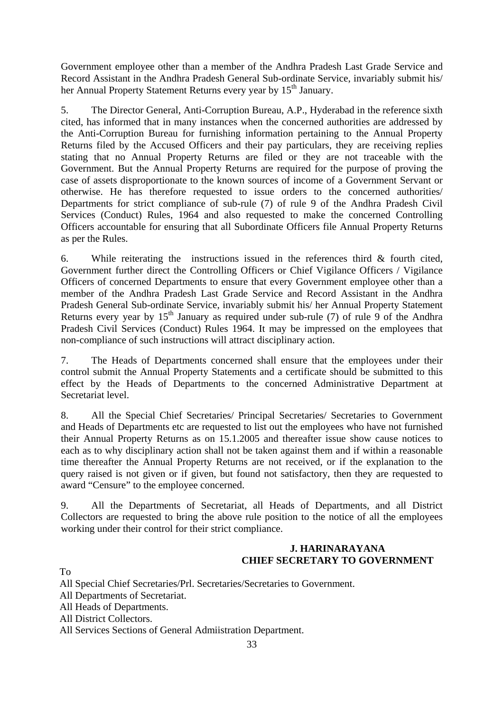Government employee other than a member of the Andhra Pradesh Last Grade Service and Record Assistant in the Andhra Pradesh General Sub-ordinate Service, invariably submit his/ her Annual Property Statement Returns every year by 15<sup>th</sup> January.

5. The Director General, Anti-Corruption Bureau, A.P., Hyderabad in the reference sixth cited, has informed that in many instances when the concerned authorities are addressed by the Anti-Corruption Bureau for furnishing information pertaining to the Annual Property Returns filed by the Accused Officers and their pay particulars, they are receiving replies stating that no Annual Property Returns are filed or they are not traceable with the Government. But the Annual Property Returns are required for the purpose of proving the case of assets disproportionate to the known sources of income of a Government Servant or otherwise. He has therefore requested to issue orders to the concerned authorities/ Departments for strict compliance of sub-rule (7) of rule 9 of the Andhra Pradesh Civil Services (Conduct) Rules, 1964 and also requested to make the concerned Controlling Officers accountable for ensuring that all Subordinate Officers file Annual Property Returns as per the Rules.

6. While reiterating the instructions issued in the references third  $\&$  fourth cited, Government further direct the Controlling Officers or Chief Vigilance Officers / Vigilance Officers of concerned Departments to ensure that every Government employee other than a member of the Andhra Pradesh Last Grade Service and Record Assistant in the Andhra Pradesh General Sub-ordinate Service, invariably submit his/ her Annual Property Statement Returns every year by 15<sup>th</sup> January as required under sub-rule (7) of rule 9 of the Andhra Pradesh Civil Services (Conduct) Rules 1964. It may be impressed on the employees that non-compliance of such instructions will attract disciplinary action.

7. The Heads of Departments concerned shall ensure that the employees under their control submit the Annual Property Statements and a certificate should be submitted to this effect by the Heads of Departments to the concerned Administrative Department at Secretariat level.

8. All the Special Chief Secretaries/ Principal Secretaries/ Secretaries to Government and Heads of Departments etc are requested to list out the employees who have not furnished their Annual Property Returns as on 15.1.2005 and thereafter issue show cause notices to each as to why disciplinary action shall not be taken against them and if within a reasonable time thereafter the Annual Property Returns are not received, or if the explanation to the query raised is not given or if given, but found not satisfactory, then they are requested to award "Censure" to the employee concerned.

9. All the Departments of Secretariat, all Heads of Departments, and all District Collectors are requested to bring the above rule position to the notice of all the employees working under their control for their strict compliance.

#### **J. HARINARAYANA CHIEF SECRETARY TO GOVERNMENT**

To

All Special Chief Secretaries/Prl. Secretaries/Secretaries to Government.

All Departments of Secretariat.

All Heads of Departments.

All District Collectors.

All Services Sections of General Admiistration Department.